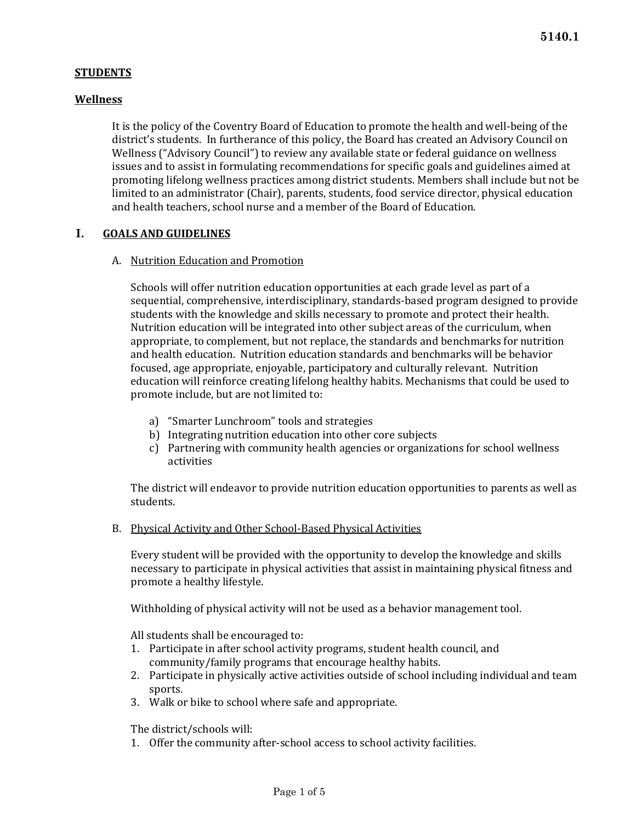# **STUDENTS**

# **Wellness**

It is the policy of the Coventry Board of Education to promote the health and well-being of the district's students. In furtherance of this policy, the Board has created an Advisory Council on Wellness ("Advisory Council") to review any available state or federal guidance on wellness issues and to assist in formulating recommendations for specific goals and guidelines aimed at promoting lifelong wellness practices among district students. Members shall include but not be limited to an administrator (Chair), parents, students, food service director, physical education and health teachers, school nurse and a member of the Board of Education.

# **I. GOALS AND GUIDELINES**

## A. Nutrition Education and Promotion

Schools will offer nutrition education opportunities at each grade level as part of a sequential, comprehensive, interdisciplinary, standards-based program designed to provide students with the knowledge and skills necessary to promote and protect their health. Nutrition education will be integrated into other subject areas of the curriculum, when appropriate, to complement, but not replace, the standards and benchmarks for nutrition and health education. Nutrition education standards and benchmarks will be behavior focused, age appropriate, enjoyable, participatory and culturally relevant. Nutrition education will reinforce creating lifelong healthy habits. Mechanisms that could be used to promote include, but are not limited to:

- a) "Smarter Lunchroom" tools and strategies
- b) Integrating nutrition education into other core subjects
- c) Partnering with community health agencies or organizations for school wellness activities

The district will endeavor to provide nutrition education opportunities to parents as well as students.

B. Physical Activity and Other School-Based Physical Activities

Every student will be provided with the opportunity to develop the knowledge and skills necessary to participate in physical activities that assist in maintaining physical fitness and promote a healthy lifestyle.

Withholding of physical activity will not be used as a behavior management tool.

All students shall be encouraged to:

- 1. Participate in after school activity programs, student health council, and community/family programs that encourage healthy habits.
- 2. Participate in physically active activities outside of school including individual and team sports.
- 3. Walk or bike to school where safe and appropriate.

The district/schools will:

1. Offer the community after-school access to school activity facilities.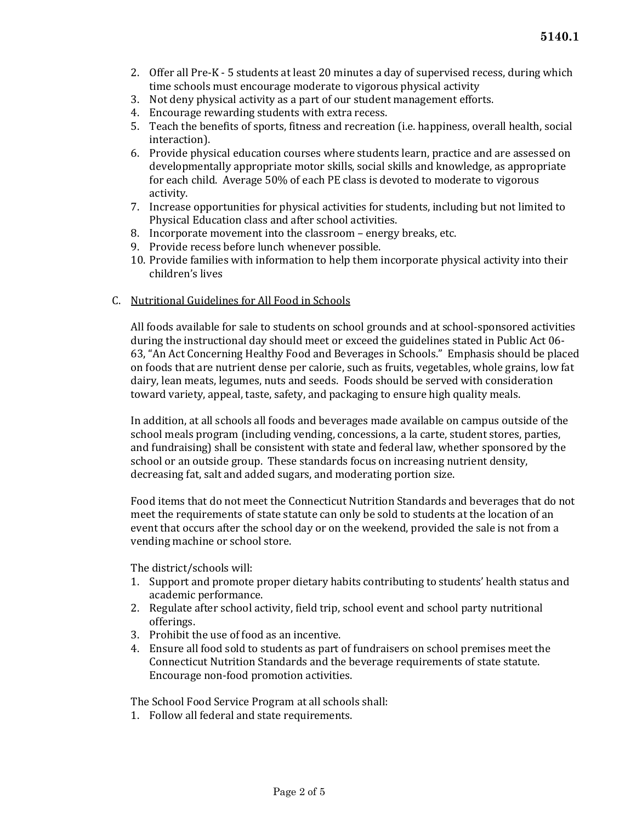- 2. Offer all Pre-K 5 students at least 20 minutes a day of supervised recess, during which time schools must encourage moderate to vigorous physical activity
- 3. Not deny physical activity as a part of our student management efforts.
- 4. Encourage rewarding students with extra recess.
- 5. Teach the benefits of sports, fitness and recreation (i.e. happiness, overall health, social interaction).
- 6. Provide physical education courses where students learn, practice and are assessed on developmentally appropriate motor skills, social skills and knowledge, as appropriate for each child. Average 50% of each PE class is devoted to moderate to vigorous activity.
- 7. Increase opportunities for physical activities for students, including but not limited to Physical Education class and after school activities.
- 8. Incorporate movement into the classroom energy breaks, etc.
- 9. Provide recess before lunch whenever possible.
- 10. Provide families with information to help them incorporate physical activity into their children's lives

## C. Nutritional Guidelines for All Food in Schools

All foods available for sale to students on school grounds and at school-sponsored activities during the instructional day should meet or exceed the guidelines stated in Public Act 06- 63, "An Act Concerning Healthy Food and Beverages in Schools." Emphasis should be placed on foods that are nutrient dense per calorie, such as fruits, vegetables, whole grains, low fat dairy, lean meats, legumes, nuts and seeds. Foods should be served with consideration toward variety, appeal, taste, safety, and packaging to ensure high quality meals.

In addition, at all schools all foods and beverages made available on campus outside of the school meals program (including vending, concessions, a la carte, student stores, parties, and fundraising) shall be consistent with state and federal law, whether sponsored by the school or an outside group. These standards focus on increasing nutrient density, decreasing fat, salt and added sugars, and moderating portion size.

Food items that do not meet the Connecticut Nutrition Standards and beverages that do not meet the requirements of state statute can only be sold to students at the location of an event that occurs after the school day or on the weekend, provided the sale is not from a vending machine or school store.

The district/schools will:

- 1. Support and promote proper dietary habits contributing to students' health status and academic performance.
- 2. Regulate after school activity, field trip, school event and school party nutritional offerings.
- 3. Prohibit the use of food as an incentive.
- 4. Ensure all food sold to students as part of fundraisers on school premises meet the Connecticut Nutrition Standards and the beverage requirements of state statute. Encourage non-food promotion activities.

The School Food Service Program at all schools shall:

1. Follow all federal and state requirements.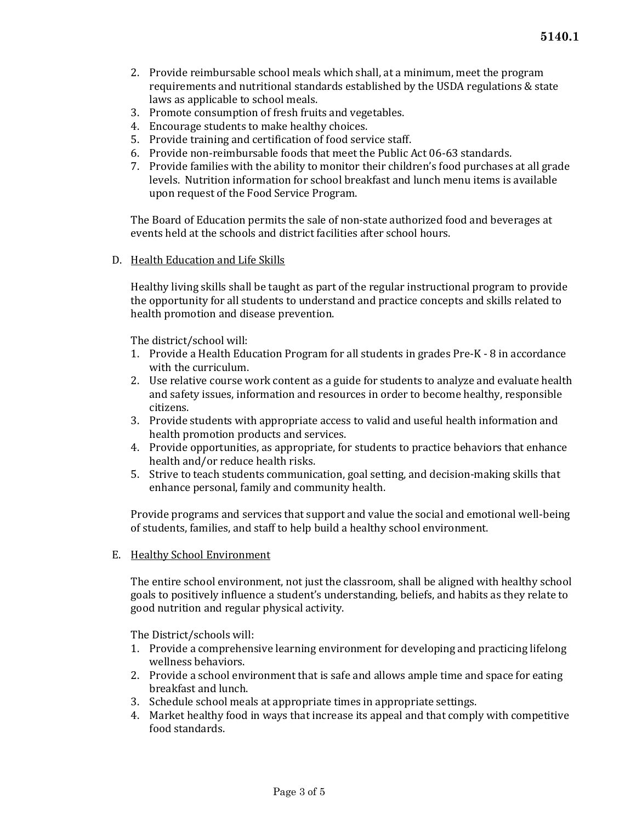- 2. Provide reimbursable school meals which shall, at a minimum, meet the program requirements and nutritional standards established by the USDA regulations & state laws as applicable to school meals.
- 3. Promote consumption of fresh fruits and vegetables.
- 4. Encourage students to make healthy choices.
- 5. Provide training and certification of food service staff.
- 6. Provide non-reimbursable foods that meet the Public Act 06-63 standards.
- 7. Provide families with the ability to monitor their children's food purchases at all grade levels. Nutrition information for school breakfast and lunch menu items is available upon request of the Food Service Program.

The Board of Education permits the sale of non-state authorized food and beverages at events held at the schools and district facilities after school hours.

D. Health Education and Life Skills

Healthy living skills shall be taught as part of the regular instructional program to provide the opportunity for all students to understand and practice concepts and skills related to health promotion and disease prevention.

The district/school will:

- 1. Provide a Health Education Program for all students in grades Pre-K 8 in accordance with the curriculum.
- 2. Use relative course work content as a guide for students to analyze and evaluate health and safety issues, information and resources in order to become healthy, responsible citizens.
- 3. Provide students with appropriate access to valid and useful health information and health promotion products and services.
- 4. Provide opportunities, as appropriate, for students to practice behaviors that enhance health and/or reduce health risks.
- 5. Strive to teach students communication, goal setting, and decision-making skills that enhance personal, family and community health.

Provide programs and services that support and value the social and emotional well-being of students, families, and staff to help build a healthy school environment.

E. Healthy School Environment

The entire school environment, not just the classroom, shall be aligned with healthy school goals to positively influence a student's understanding, beliefs, and habits as they relate to good nutrition and regular physical activity.

The District/schools will:

- 1. Provide a comprehensive learning environment for developing and practicing lifelong wellness behaviors.
- 2. Provide a school environment that is safe and allows ample time and space for eating breakfast and lunch.
- 3. Schedule school meals at appropriate times in appropriate settings.
- 4. Market healthy food in ways that increase its appeal and that comply with competitive food standards.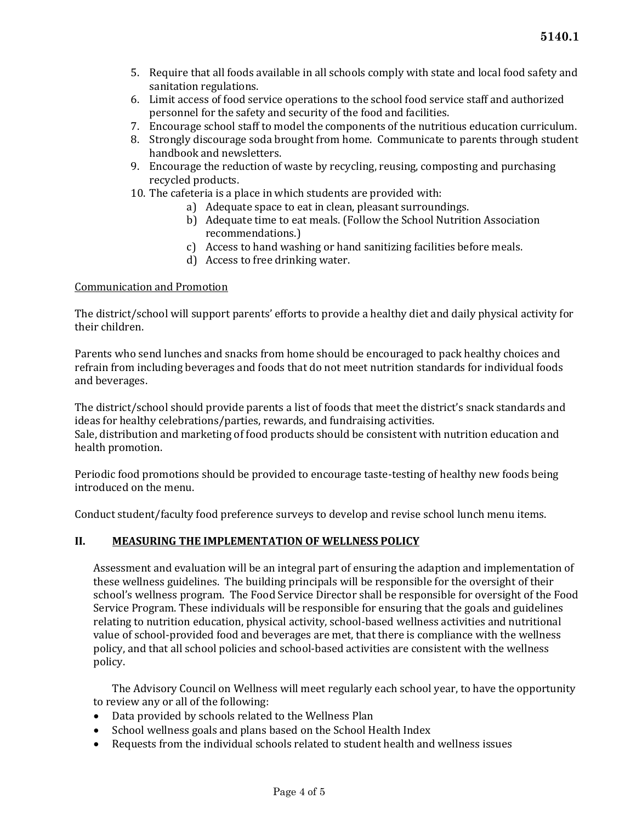- 5. Require that all foods available in all schools comply with state and local food safety and sanitation regulations.
- 6. Limit access of food service operations to the school food service staff and authorized personnel for the safety and security of the food and facilities.
- 7. Encourage school staff to model the components of the nutritious education curriculum.
- 8. Strongly discourage soda brought from home. Communicate to parents through student handbook and newsletters.
- 9. Encourage the reduction of waste by recycling, reusing, composting and purchasing recycled products.
- 10. The cafeteria is a place in which students are provided with:
	- a) Adequate space to eat in clean, pleasant surroundings.
	- b) Adequate time to eat meals. (Follow the School Nutrition Association recommendations.)
	- c) Access to hand washing or hand sanitizing facilities before meals.
	- d) Access to free drinking water.

## Communication and Promotion

The district/school will support parents' efforts to provide a healthy diet and daily physical activity for their children.

Parents who send lunches and snacks from home should be encouraged to pack healthy choices and refrain from including beverages and foods that do not meet nutrition standards for individual foods and beverages.

The district/school should provide parents a list of foods that meet the district's snack standards and ideas for healthy celebrations/parties, rewards, and fundraising activities.

Sale, distribution and marketing of food products should be consistent with nutrition education and health promotion.

Periodic food promotions should be provided to encourage taste-testing of healthy new foods being introduced on the menu.

Conduct student/faculty food preference surveys to develop and revise school lunch menu items.

## **II. MEASURING THE IMPLEMENTATION OF WELLNESS POLICY**

Assessment and evaluation will be an integral part of ensuring the adaption and implementation of these wellness guidelines. The building principals will be responsible for the oversight of their school's wellness program. The Food Service Director shall be responsible for oversight of the Food Service Program. These individuals will be responsible for ensuring that the goals and guidelines relating to nutrition education, physical activity, school-based wellness activities and nutritional value of school-provided food and beverages are met, that there is compliance with the wellness policy, and that all school policies and school-based activities are consistent with the wellness policy.

The Advisory Council on Wellness will meet regularly each school year, to have the opportunity to review any or all of the following:

- Data provided by schools related to the Wellness Plan
- School wellness goals and plans based on the School Health Index
- Requests from the individual schools related to student health and wellness issues